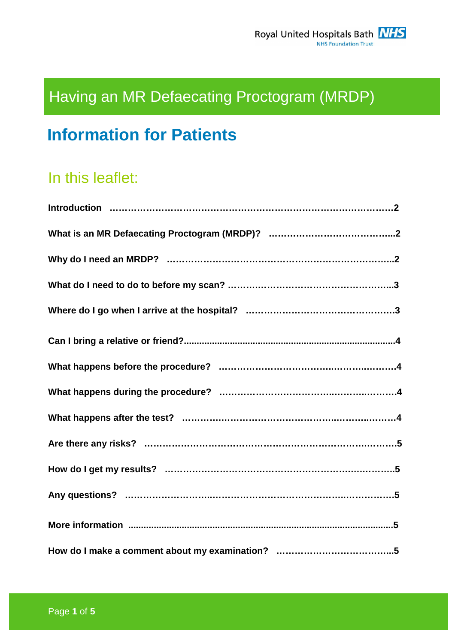# Having an MR Defaecating Proctogram (MRDP)

## **Information for Patients**

## In this leaflet: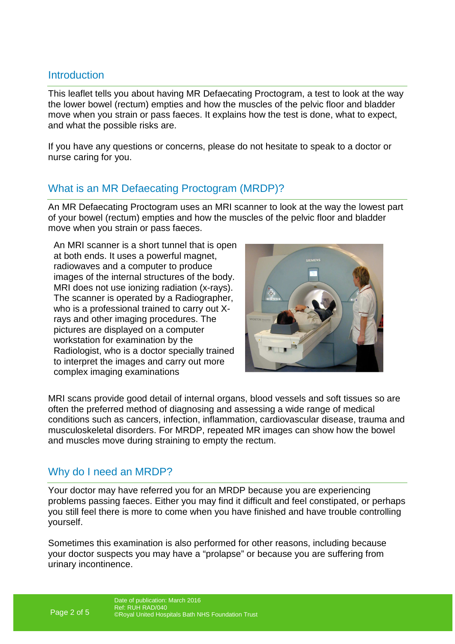## Introduction

This leaflet tells you about having MR Defaecating Proctogram, a test to look at the way the lower bowel (rectum) empties and how the muscles of the pelvic floor and bladder move when you strain or pass faeces. It explains how the test is done, what to expect, and what the possible risks are.

If you have any questions or concerns, please do not hesitate to speak to a doctor or nurse caring for you.

## What is an MR Defaecating Proctogram (MRDP)?

An MR Defaecating Proctogram uses an MRI scanner to look at the way the lowest part of your bowel (rectum) empties and how the muscles of the pelvic floor and bladder move when you strain or pass faeces.

An MRI scanner is a short tunnel that is open at both ends. It uses a powerful magnet, radiowaves and a computer to produce images of the internal structures of the body. MRI does not use ionizing radiation (x-rays). The scanner is operated by a Radiographer, who is a professional trained to carry out Xrays and other imaging procedures. The pictures are displayed on a computer workstation for examination by the Radiologist, who is a doctor specially trained to interpret the images and carry out more complex imaging examinations



MRI scans provide good detail of internal organs, blood vessels and soft tissues so are often the preferred method of diagnosing and assessing a wide range of medical conditions such as cancers, infection, inflammation, cardiovascular disease, trauma and musculoskeletal disorders. For MRDP, repeated MR images can show how the bowel and muscles move during straining to empty the rectum.

## Why do I need an MRDP?

Your doctor may have referred you for an MRDP because you are experiencing problems passing faeces. Either you may find it difficult and feel constipated, or perhaps you still feel there is more to come when you have finished and have trouble controlling yourself.

Sometimes this examination is also performed for other reasons, including because your doctor suspects you may have a "prolapse" or because you are suffering from urinary incontinence.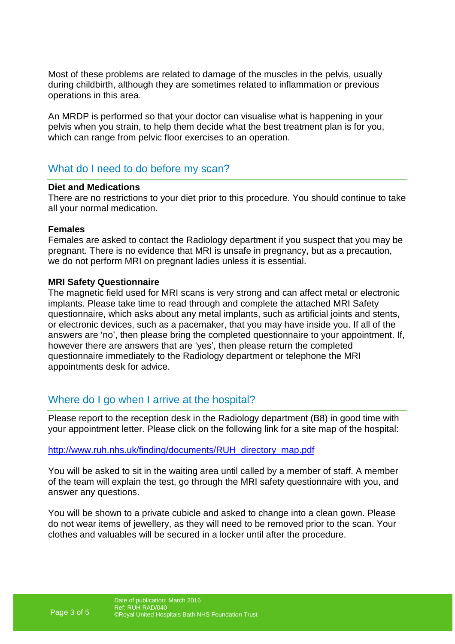Most of these problems are related to damage of the muscles in the pelvis, usually during childbirth, although they are sometimes related to inflammation or previous operations in this area.

An MRDP is performed so that your doctor can visualise what is happening in your pelvis when you strain, to help them decide what the best treatment plan is for you, which can range from pelvic floor exercises to an operation.

## What do I need to do before my scan?

#### **Diet and Medications**

There are no restrictions to your diet prior to this procedure. You should continue to take all your normal medication.

#### **Females**

Females are asked to contact the Radiology department if you suspect that you may be pregnant. There is no evidence that MRI is unsafe in pregnancy, but as a precaution, we do not perform MRI on pregnant ladies unless it is essential.

#### **MRI Safety Questionnaire**

The magnetic field used for MRI scans is very strong and can affect metal or electronic implants. Please take time to read through and complete the attached MRI Safety questionnaire, which asks about any metal implants, such as artificial joints and stents, or electronic devices, such as a pacemaker, that you may have inside you. If all of the answers are 'no', then please bring the completed questionnaire to your appointment. If, however there are answers that are 'yes', then please return the completed questionnaire immediately to the Radiology department or telephone the MRI appointments desk for advice.

## Where do I go when I arrive at the hospital?

Please report to the reception desk in the Radiology department (B8) in good time with your appointment letter. Please click on the following link for a site map of the hospital:

#### http://www.ruh.nhs.uk/finding/documents/RUH\_directory\_map.pdf

You will be asked to sit in the waiting area until called by a member of staff. A member of the team will explain the test, go through the MRI safety questionnaire with you, and answer any questions.

You will be shown to a private cubicle and asked to change into a clean gown. Please do not wear items of jewellery, as they will need to be removed prior to the scan. Your clothes and valuables will be secured in a locker until after the procedure.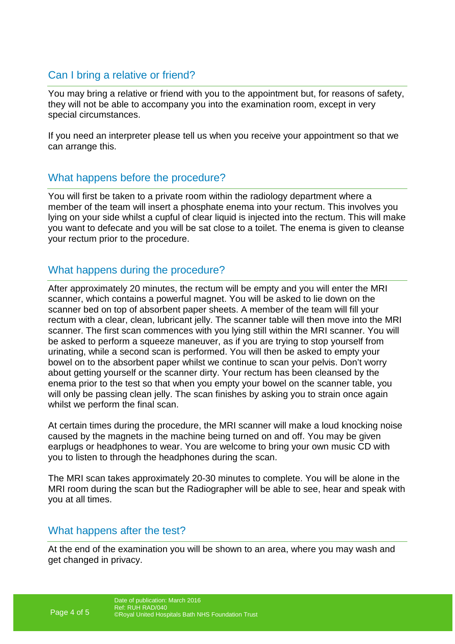## Can I bring a relative or friend?

You may bring a relative or friend with you to the appointment but, for reasons of safety, they will not be able to accompany you into the examination room, except in very special circumstances.

If you need an interpreter please tell us when you receive your appointment so that we can arrange this.

## What happens before the procedure?

You will first be taken to a private room within the radiology department where a member of the team will insert a phosphate enema into your rectum. This involves you lying on your side whilst a cupful of clear liquid is injected into the rectum. This will make you want to defecate and you will be sat close to a toilet. The enema is given to cleanse your rectum prior to the procedure.

## What happens during the procedure?

After approximately 20 minutes, the rectum will be empty and you will enter the MRI scanner, which contains a powerful magnet. You will be asked to lie down on the scanner bed on top of absorbent paper sheets. A member of the team will fill your rectum with a clear, clean, lubricant jelly. The scanner table will then move into the MRI scanner. The first scan commences with you lying still within the MRI scanner. You will be asked to perform a squeeze maneuver, as if you are trying to stop yourself from urinating, while a second scan is performed. You will then be asked to empty your bowel on to the absorbent paper whilst we continue to scan your pelvis. Don't worry about getting yourself or the scanner dirty. Your rectum has been cleansed by the enema prior to the test so that when you empty your bowel on the scanner table, you will only be passing clean jelly. The scan finishes by asking you to strain once again whilst we perform the final scan.

At certain times during the procedure, the MRI scanner will make a loud knocking noise caused by the magnets in the machine being turned on and off. You may be given earplugs or headphones to wear. You are welcome to bring your own music CD with you to listen to through the headphones during the scan.

The MRI scan takes approximately 20-30 minutes to complete. You will be alone in the MRI room during the scan but the Radiographer will be able to see, hear and speak with you at all times.

## What happens after the test?

At the end of the examination you will be shown to an area, where you may wash and get changed in privacy.